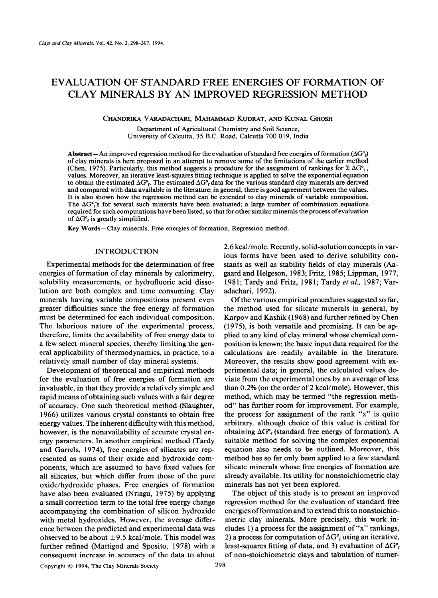# **EVALUATION OF STANDARD FREE ENERGIES OF FORMATION OF CLAY MINERALS BY AN IMPROVED REGRESSION METHOD**

CHANDRIKA VARADACHARI, MAHAMMAD KUDRAT, AND KUNAL GHOSH

Department of Agricultural Chemistry and Soil Science, University of Calcutta, 35 B.C. Road, Calcutta 700 019, India

Abstract--An improved regression method for the evaluation of standard free energies of formation ( $\Delta G^{\circ}$ ) of clay minerals is here proposed in an attempt to remove some of the limitations of the earlier method (Chen, 1975). Particularly, this method suggests a procedure for the assignment of rankings for  $\Sigma \Delta G_{f,i}^{\circ}$ values. Moreover, an iterative least-squares fitting technique is applied to solve the exponential equation to obtain the estimated  $\Delta G^{\circ}$ . The estimated  $\Delta G^{\circ}$  data for the various standard clay minerals are derived and compared with data available in the literature; in general, there is good agreement between the values. It is also shown how the regression method can be extended to clay minerals of variable composition. The  $\Delta G^{\circ}$ 's for several such minerals have been evaluated; a large number of combination equations required for such computations have been listed, so that for other similar minerals the process of evaluation of  $\Delta G^{\circ}$  is greatly simplified.

Key Words-Clay minerals, Free energies of formation, Regression method.

## INTRODUCTION

Experimental methods for the determination of free energies of formation of clay minerals by calorimetry, solubility measurements, or hydrofluoric acid dissolution are both complex and time consuming. Clay minerals having variable compositions present even greater difficulties since the free energy of formation must be determined for each individual composition. The laborious nature of the experimental process, therefore, limits the availability of free energy data to a few select mineral species, thereby limiting the general applicability of thermodynamics, in practice, to a relatively small number of clay mineral systems.

Development of theoretical and empirical methods for the evaluation of free energies of formation are invaluable, in that they provide a relatively simple and rapid means of obtaining such values with a fair degree of accuracy. One such theoretical method (Slaughter, 1966) utilizes various crystal constants to obtain free energy values. The inherent difficulty with this method, however, is the nonavailability of accurate crystal energy parameters. In another empirical method (Tardy and Garrels, 1974), free energies of silicates are represented as sums of their oxide and hydroxide components, which are assumed to have fixed values for all silicates, but which differ from those of the pure oxide/hydroxide phases. Free energies of formation have also been evaluated (Nriagu, 1975) by applying a small correction term to the total free energy change accompanying the combination of silicon hydroxide with metal hydroxides. However, the average difference between the predicted and experimental data was observed to be about  $\pm$  9.5 kcal/mole. This model was further refined (Mattigod and Sposito, 1978) with a consequent increase in accuracy of the data to about 2.6 kcal/mole. Recently, solid-solution concepts in various forms have been used to derive solubility constants as well as stability fields of clay minerals (Aagaard and Helgeson, 1983; Fritz, 1985; Lippman, 1977, 1981; Tardy and Fritz, 1981; Tardy *et al.,* 1987; Varadachari, 1992).

Of the various empirical procedures suggested so far, the method used for silicate minerals in general, by Karpov and Kashik (1968) and further refined by Chen (1975), is both versatile and promising. It can be applied to any kind of clay mineral whose chemical composition is known; the basic input data required for the calculations are readily available in the literature. Moreover, the results show good agreement with experimental data; in general, the calculated values deviate from the experimental ones by an average of less than 0.2% (on the order of 2 kcal/mole). However, this method, which may be termed "the regression method" has further room for improvement. For example, the process for assignment of the rank "x" is quite arbitrary, although choice of this value is critical for obtaining  $\Delta G^{\circ}$  (standard free energy of formation). A suitable method for solving the complex exponential equation also needs to be outlined. Moreover, this method has so far only been applied to a few standard silicate minerals whose free energies of formation are already available. Its utility for nonstoichiometric clay minerals has not yet been explored.

The object of this study is to present an improved regression method for the evaluation of standard free energies of formation and to extend this to nonstoichiometric clay minerals. More precisely, this work includes 1) a process for the assignment of " $x$ " rankings, 2) a process for computation of  $\Delta G^{\circ}$  using an iterative, least-squares fitting of data, and 3) evaluation of  $\Delta G^{\circ}$ of non-stoichiometric clays and tabulation of numer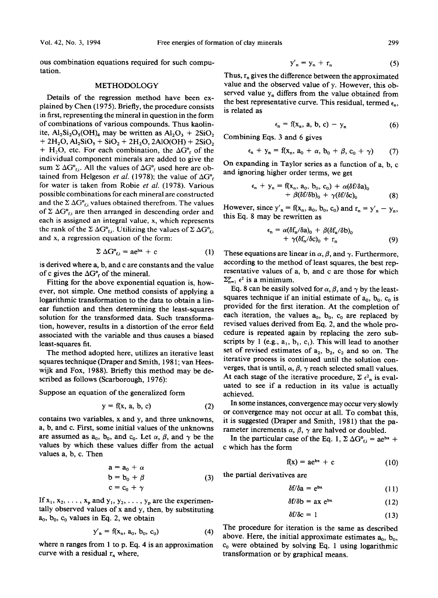ous combination equations required for such computation.

## METHODOLOGY

Details of the regression method have been explained by Chen (1975). Briefly, the procedure consists in first, representing the mineral in question in the form of combinations of various compounds. Thus kaolinite,  $Al_2Si_2O_3(OH)_4$  may be written as  $Al_2O_3 + 2SiO_2$  $+ 2H<sub>2</sub>O, Al<sub>2</sub>SiO<sub>2</sub> + SiO<sub>2</sub> + 2H<sub>2</sub>O, 2AlO(OH) + 2SiO<sub>2</sub>$ + H<sub>2</sub>O, etc. For each combination, the  $\Delta G^{\circ}$  of the individual component minerals are added to give the sum  $\Sigma \Delta G^{\circ}_{fi}$ . All the values of  $\Delta G^{\circ}_{f}$  used here are obtained from Helgeson *et al.* (1978); the value of  $\Delta G^{\circ}$ for water is taken from Robie *et al.* (1978). Various possible combinations for each mineral are constructed and the  $\Sigma \Delta G^{\circ}_{\text{C}i}$  values obtained therefrom. The values of  $\Sigma \Delta G^{\circ}_{f,i}$  are then arranged in descending order and each is assigned an integral value, x, which represents the rank of the  $\Sigma \Delta G^{\circ}_{\text{fi}}$ . Utilizing the values of  $\Sigma \Delta G^{\circ}_{\text{fi}}$ and x, a regression equation of the form:

$$
\Sigma \Delta G^{\circ}_{fi} = ae^{bx} + c \tag{1}
$$

is derived where a, b, and c are constants and the value of c gives the  $\Delta G^{\circ}$  of the mineral.

Fitting for the above exponential equation is, however, not simple. One method consists of applying a logarithmic transformation to the data to obtain a linear function and then determining the least-squares solution for the transformed data. Such transformation, however, results in a distortion of the error field associated with the variable and thus causes a biased least-squares fit.

The method adopted here, utilizes an iterative least squares technique (Draper and Smith, 1981; van Heeswijk and Fox, 1988). Briefly this method may be described as follows (Scarborough, 1976):

Suppose an equation of the generalized form

$$
y = f(x, a, b, c) \tag{2}
$$

contains two variables, x and y, and three unknowns, a, b, and c. First, some initial values of the unknowns are assumed as  $a_0$ ,  $b_0$ , and  $c_0$ . Let  $\alpha$ ,  $\beta$ , and  $\gamma$  be the values by which these values differ from the actual values a, b, c. Then

$$
a = a_0 + \alpha
$$
  
\n
$$
b = b_0 + \beta
$$
  
\n
$$
c = c_0 + \gamma
$$
\n(3)

If  $x_1, x_2, \ldots, x_p$  and  $y_1, y_2, \ldots, y_p$  are the experimentally observed values of x and y, then, by substituting  $a_0$ ,  $b_0$ ,  $c_0$  values in Eq. 2, we obtain

$$
y'_n = f(x_n, a_0, b_0, c_0)
$$
 (4)

where n ranges from 1 to p. Eq. 4 is an approximation curve with a residual  $r_n$  where,

$$
y'_n = y_n + r_n \tag{5}
$$

Thus,  $r_n$  gives the difference between the approximated value and the observed value of y. However, this observed value  $y_n$  differs from the value obtained from the best representative curve. This residual, termed  $\epsilon_n$ , is related as

$$
\epsilon_n = f(x_n, a, b, c) - y_n \tag{6}
$$

Combining Eqs. 3 and 6 gives

$$
\epsilon_n + y_n = f(x_n, a_0 + \alpha, b_0 + \beta, c_0 + \gamma) \qquad (7)
$$

On expanding in Taylor series as a function of a, b, c and ignoring higher order terms, we get

$$
\epsilon_n + y_n = f(x_n, a_0, b_0, c_0) + \alpha(\delta f/\delta a)_0
$$
  
+  $\beta(\delta f/\delta b)_0 + \gamma(\delta f/\delta c)_0$  (8)

However, since  $y'_n = f(x_n, a_0, b_0, c_0)$  and  $r_n = y'_n - y_n$ , this Eq. 8 may be rewritten as

$$
\epsilon_{n} = \alpha(\delta f_{n}/\delta a)_{0} + \beta(\delta f_{n}/\delta b)_{0} + \gamma(\delta f_{n}/\delta c)_{0} + r_{n}
$$
(9)

These equations are linear in  $\alpha$ ,  $\beta$ , and  $\gamma$ . Furthermore, according to the method of least squares, the best representative values of a, b, and c are those for which  $\Sigma_{n=1}^{P} \epsilon^2$  is a minimum.

Eq. 8 can be easily solved for  $\alpha$ ,  $\beta$ , and  $\gamma$  by the leastsquares technique if an initial estimate of  $a_0$ ,  $b_0$ ,  $c_0$  is provided for the first iteration. At the completion of each iteration, the values  $a_0$ ,  $b_0$ ,  $c_0$  are replaced by revised values derived from Eq. 2, and the whole procedure is repeated again by replacing the zero subscripts by 1 (e.g.,  $a_1$ ,  $b_1$ ,  $c_1$ ). This will lead to another set of revised estimates of  $a_2$ ,  $b_2$ ,  $c_2$  and so on. The iterative process is continued until the solution converges, that is until,  $\alpha, \beta, \gamma$  reach selected small values. At each stage of the iterative procedure,  $\Sigma \epsilon_{\text{n}}^2$  is evaluated to see if a reduction in its value is actually achieved.

In some instances, convergence may occur very slowly or convergence may not occur at all. To combat this, it is suggested (Draper and Smith, 1981) that the parameter increments  $\alpha$ ,  $\beta$ ,  $\gamma$  are halved or doubled.

In the particular case of the Eq. 1,  $\Sigma \Delta G^{\circ}_{f,i} = ae^{bx} +$ c which has the form

$$
f(x) = ae^{bx} + c \tag{10}
$$

the partial derivatives are

$$
\delta f/\delta a = e^{bx} \tag{11}
$$

$$
\delta f/\delta b = ax e^{bx} \tag{12}
$$

$$
\delta f/\delta c = 1 \tag{13}
$$

The procedure for iteration is the same as described above. Here, the initial approximate estimates  $a_0$ ,  $b_0$ ,  $c_0$  were obtained by solving Eq. 1 using logarithmic transformation or by graphical means.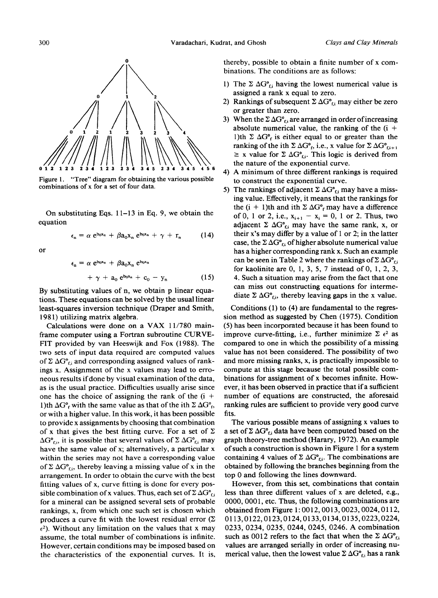

Figure 1. "Tree" diagram for obtaining the various possible combinations of x for a set of four data.

On substituting Eqs. 11-13 in Eq. 9, we obtain the equation

$$
\epsilon_{n} = \alpha e^{b_{0}x_{n}} + \beta a_{0}x_{n} e^{b_{0}x_{n}} + \gamma + r_{n} \qquad (14)
$$

or

$$
\epsilon_n = \alpha e^{b_0 x_n} + \beta a_0 x_n e^{b_0 x_n}
$$
  
+  $\gamma + a_0 e^{b_0 x_n} + c_0 - y_n$  (15)

By substituting values of n, we obtain p linear equations. These equations can be solved by the usual linear least-squares inversion technique (Draper and Smith, 1981) utilizing matrix algebra.

Calculations were done on a VAX 11/780 mainframe computer using a Fortran subroutine CURVE-FIT provided by van Heeswijk and Fox (1988). The two sets of input data required are computed values of  $\Sigma \Delta G^{\circ}_{\text{fi}}$  and corresponding assigned values of rankings x. Assignment of the x values may lead to erroneous results if done by visual examination of the data, as is the usual practice. Difficulties usually arise since one has the choice of assigning the rank of the  $(i +$ 1)th  $\Delta G^{\circ}_{f}$  with the same value as that of the ith  $\Sigma \Delta G^{\circ}_{f}$ , or with a higher value. In this work, it has been possible to provide x assignments by choosing that combination of x that gives the best fitting curve. For a set of  $\Sigma$  $\Delta G^{\circ}_{\text{fi}}$ , it is possible that several values of  $\Sigma \Delta G^{\circ}_{\text{fi}}$  may have the same value of x; alternatively, a particular x within the series may not have a corresponding value of  $\Sigma \Delta G^{\circ}_{f,i}$ , thereby leaving a missing value of x in the arrangement. In order to obtain the curve with the best fitting values of x, curve fitting is done for every possible combination of x values. Thus, each set of  $\Sigma \Delta G^{\circ}_{\text{fi}}$ for a mineral can be assigned several sets of probable rankings, x, from which one such set is chosen which produces a curve fit with the lowest residual error  $(\Sigma)$  $\epsilon^2$ ). Without any limitation on the values that x may assume, the total number of combinations is infinite. However, certain conditions may be imposed based on the characteristics of the exponential curves. It is, thereby, possible to obtain a finite number of x combinations. The conditions are as follows:

- 1) The  $\Sigma \Delta G^{\circ}_{fi}$  having the lowest numerical value is assigned a rank x equal to zero.
- 2) Rankings of subsequent  $\Sigma \Delta G^{\circ}_{fi}$  may either be zero or greater than zero.
- 3) When the  $\Sigma \Delta G^{\circ}$  are arranged in order of increasing absolute numerical value, the ranking of the  $(i +$ 1)th  $\Sigma \Delta G^{\circ}$  is either equal to or greater than the ranking of the ith  $\Sigma \Delta G^{\circ}$ , i.e., x value for  $\Sigma \Delta G^{\circ}$ <sub>fi+1</sub>  $\geq$  x value for  $\Sigma \Delta G^{\circ}_{\text{fi}}$ . This logic is derived from the nature of the exponential curve.
- 4) A minimum of three different rankings is required to construct the exponential curve.
- 5) The rankings of adjacent  $\Sigma \Delta G^{\circ}_{fi}$  may have a missing value. Effectively, it means that the rankings for the  $(i + 1)$ th and ith  $\Sigma \Delta G^{\circ}$ <sub>f</sub> may have a difference of 0, 1 or 2, i.e.,  $x_{i+1} - x_i = 0$ , 1 or 2. Thus, two adjacent  $\Sigma \Delta G^{\circ}_{\text{fi}}$  may have the same rank, x, or their x's may differ by a value of 1 or 2; in the latter case, the  $\Sigma \Delta G^{\circ}_{fi}$  of higher absolute numerical value has a higher corresponding rank x. Such an example can be seen in Table 2 where the rankings of  $\Sigma \Delta G^{\circ}_{fi}$ for kaolinite are 0, 1, 3, 5, 7 instead of 0, 1, 2, 3, 4. Such a situation may arise from the fact that one can miss out constructing equations for intermediate  $\Sigma \Delta G^{\circ}_{\text{fi}}$ , thereby leaving gaps in the x value.

Conditions (1) to (4) are fundamental to the regression method as suggested by Chen (1975). Condition (5) has been incorporated because it has been found to improve curve-fitting, i.e., further minimize  $\Sigma \epsilon^2$  as compared to one in which the possibility of a missing value has not been considered. The possibility of two and more missing ranks, x, is practically impossible to compute at this stage because the total possible combinations for assignment of x becomes infinite. However, it has been observed in practice that if a sufficient number of equations are constructed, the aforesaid ranking rules are sufficient to provide very good curve fits.

The various possible means of assigning x values to a set of  $\Sigma \Delta G^{\circ}_{fi}$  data have been computed based on the graph theory-tree method (Harary, 1972). An example of such a construction is shown in Figure 1 for a system containing 4 values of  $\Sigma \Delta G^{\circ}_{fi}$ . The combinations are obtained by following the branches beginning from the top 0 and following the lines downward.

However, from this set, combinations that contain less than three different values of x are deleted, e.g., 0000, 0001, etc. Thus, the following combinations are obtained from Figure 1:0012, 0013, 0023, 0024, 0112, 0113,0122,0123,0124,0133,0134,0135,0223,0224, 0233, 0234, 0235, 0244, 0245, 0246. A combination such as 0012 refers to the fact that when the  $\Sigma \Delta G^{\circ}_{\text{fi}}$ values are arranged serially in order of increasing numerical value, then the lowest value  $\Sigma \Delta G^{\circ}_{f,i}$  has a rank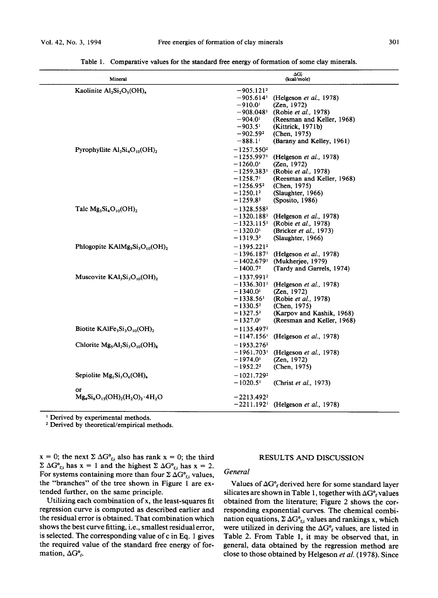| Mineral                                                                         | ΔG,<br>(kcal/mole)                                                                                                                                                                                                                                                                                                   |
|---------------------------------------------------------------------------------|----------------------------------------------------------------------------------------------------------------------------------------------------------------------------------------------------------------------------------------------------------------------------------------------------------------------|
| Kaolinite Al <sub>2</sub> Si <sub>2</sub> O <sub>5</sub> (OH) <sub>4</sub>      | $-905.1212$<br>$-905.614$ <sup>1</sup><br>(Helgeson et al., 1978)<br>$-910.01$<br>(Zen, 1972)<br>$-908.048$ <sup>1</sup><br>(Robie et al., 1978)<br>(Reesman and Keller, 1968)<br>$-904.01$<br>$-903.5^{\circ}$<br>(Kittrick, 1971b)<br>$-902.592$<br>(Chen, 1975)<br>$-888.11$<br>(Barany and Kelley, 1961)         |
| Pyrophyllite $Al_2Si_4O_{10}(OH)_2$                                             | $-1257.5502$<br>$-1255.997$ <sup>1</sup><br>(Helgeson et al., 1978)<br>$-1260.0$ <sup>1</sup><br>(Zen, 1972)<br>$-1259.383$ <sup>1</sup><br>(Robie et al., 1978)<br>(Reesman and Keller, 1968)<br>$-1258.71$<br>$-1256.95^2$<br>(Chen, 1975)<br>$-1250.1^{2}$<br>(Slaughter, 1966)<br>$-1259.8^2$<br>(Sposito, 1986) |
| Talc $Mg_3Si_4O_{10}(OH)_2$                                                     | $-1328.5582$<br>(Helgeson et al., 1978)<br>$-1320.188^{\rm i}$<br>(Robie et al., 1978)<br>$-1323.115^1$<br>$-1320.01$<br>(Bricker et al., 1973)<br>(Slaughter, 1966)<br>$-1319.3^2$                                                                                                                                  |
| Phlogopite KAlMg <sub>3</sub> Si <sub>3</sub> O <sub>10</sub> (OH) <sub>2</sub> | $-1395.221^{2}$<br>$-1396.187$ <sup>1</sup><br>(Helgeson <i>et al.</i> , 1978)<br>$-1402.679$ <sup>1</sup><br>(Mukherjee, 1979)<br>(Tardy and Garrels, 1974)<br>$-1400.72$                                                                                                                                           |
| Muscovite $KAI3Si3O10(OH)2$                                                     | $-1337.9912$<br>$-1336.301$ <sup>1</sup><br>(Helgeson <i>et al.</i> , 1978)<br>(Zen. 1972)<br>$-1340.01$<br>$-1338.56^1$<br>(Robie et al., 1978)<br>$-1330.5^2$<br>(Chen, 1975)<br>$-1327.5^2$<br>(Karpov and Kashik, 1968)<br>(Reesman and Keller, 1968)<br>$-1327.01$                                              |
| Biotite KAlFe, $Si_3O_{10}(OH)$ ,                                               | $-1135.4972$<br>$-1147.156$<br>(Helgeson et al., 1978)                                                                                                                                                                                                                                                               |
| Chlorite $Mg_sAl_2Si_3O_{10}(OH)_8$                                             | $-1953.2762$<br>$-1961.703$ <sup>1</sup><br>(Helgeson et al., 1978)<br>$-1974.0$ <sup>1</sup><br>(Zen, 1972)<br>$-1952.2^2$<br>(Chen, 1975)                                                                                                                                                                          |
| Sepiolite $Mg_2Si_3O_6(OH)_4$                                                   | $-1021.7292$<br>$-1020.51$<br>(Christ et al., 1973)                                                                                                                                                                                                                                                                  |
| or<br>$Mg_4Si_6O_{15}(OH)_{2}(H_2O)_{2} \cdot 4H_2O$                            | $-2213.4922$<br>(Helgeson et al., 1978)<br>$-2211.192$ <sup>1</sup>                                                                                                                                                                                                                                                  |

Table 1. Comparative values for the standard free energy of formation of some clay minerals.

<sup>1</sup> Derived by experimental methods.

2 Derived by theoretical/empirical methods.

 $x = 0$ ; the next  $\sum \Delta G^{\circ}_{f,i}$  also has rank  $x = 0$ ; the third  $\Sigma \Delta G^{\circ}_{fi}$  has  $x = 1$  and the highest  $\Sigma \Delta G^{\circ}_{fi}$  has  $x = 2$ . For systems containing more than four  $\Sigma \Delta G^{\circ}_{f,i}$  values, the "branches" of the tree shown in Figure 1 are extended further, on the same principle.

Utilizing each combination of x, the least-squares fit regression curve is computed as described earlier and the residual error is obtained. That combination which shows the best curve fitting, i.e., smallest residual error, is selected. The corresponding value of c in Eq. 1 gives the required value of the standard free energy of formation,  $\Delta G_{f}^{\circ}$ .

# RESULTS AND DISCUSSION

#### *General*

Values of  $\Delta G^{\circ}$  derived here for some standard layer silicates are shown in Table 1, together with  $\Delta G^{\circ}_{f}$  values obtained from the literature; Figure 2 shows the corresponding exponential curves. The chemical combination equations,  $\Sigma \Delta G^{\circ}_{fi}$  values and rankings x, which were utilized in deriving the  $\Delta G^{\circ}_{f}$  values, are listed in Table 2. From Table 1, it may be observed that, in general, data obtained by the regression method are close to those obtained by Helgeson *et al.* (1978). Since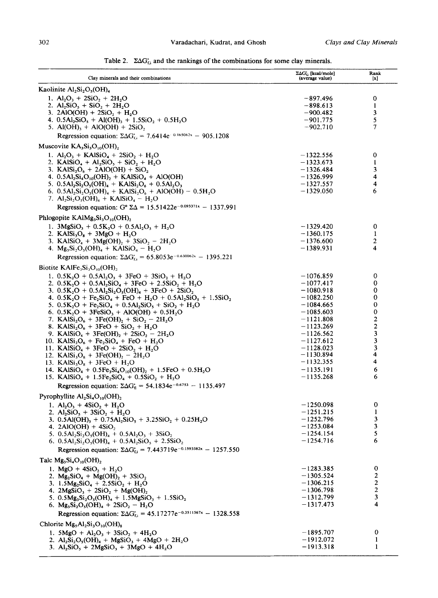Table 2.  $\Sigma\Delta G_{f,i}$  and the rankings of the combinations for some clay minerals.

| Clay minerals and their combinations                                                                                                                                                                                                                                                                                                                                                                                                                                                                                                                                                                                                                                                                                                                                                                                                                                                                                                                                                                                                                                                                                      | $\Sigma \Delta G_{\rm G}$ [kcal/mole]<br>(average value)                                                                                                                                                                      | Rank<br>[x]                                                                                   |
|---------------------------------------------------------------------------------------------------------------------------------------------------------------------------------------------------------------------------------------------------------------------------------------------------------------------------------------------------------------------------------------------------------------------------------------------------------------------------------------------------------------------------------------------------------------------------------------------------------------------------------------------------------------------------------------------------------------------------------------------------------------------------------------------------------------------------------------------------------------------------------------------------------------------------------------------------------------------------------------------------------------------------------------------------------------------------------------------------------------------------|-------------------------------------------------------------------------------------------------------------------------------------------------------------------------------------------------------------------------------|-----------------------------------------------------------------------------------------------|
| Kaolinite $Al_2Si_2O_5(OH)_4$                                                                                                                                                                                                                                                                                                                                                                                                                                                                                                                                                                                                                                                                                                                                                                                                                                                                                                                                                                                                                                                                                             |                                                                                                                                                                                                                               |                                                                                               |
| 1. $Al_2O_3 + 2SiO_2 + 2H_2O$<br>2. $Al_2SiO_5 + SiO_2 + 2H_2O$<br>3. 2AlO(OH) + $2SiO_2 + H_2O$<br>4. $0.5Al_2SiO_5 + Al(OH)_3 + 1.5SiO_2 + 0.5H_2O$<br>5. Al(OH) <sub>3</sub> + AlO(OH) + $2SiO_2$                                                                                                                                                                                                                                                                                                                                                                                                                                                                                                                                                                                                                                                                                                                                                                                                                                                                                                                      | -897.496<br>$-898.613$<br>$-900.482$<br>$-901.775$<br>$-902.710$                                                                                                                                                              | 0<br>1<br>3<br>5<br>7                                                                         |
| Regression equation: $\Sigma \Delta G_{f,i}^* = 7.6414e^{-0.165062x} - 905.1208$                                                                                                                                                                                                                                                                                                                                                                                                                                                                                                                                                                                                                                                                                                                                                                                                                                                                                                                                                                                                                                          |                                                                                                                                                                                                                               |                                                                                               |
| Muscovite $KA_3Si_3O_{10}(OH)_2$<br>1. $Al_2O_3 + KAlSiO_4 + 2SiO_2 + H_2O$<br>2. KAlSiO <sub>4</sub> + Al <sub>2</sub> SiO <sub>5</sub> + SiO <sub>2</sub> + H <sub>2</sub> O<br>3. KAl $Si_2O_6 + 2AlO(OH) + SiO_2$<br>4. $0.5Al_2Si_4O_{10}(OH)_2 + KAlSiO_4 + AlO(OH)$<br>5. $0.5Al_2Si_2O_5(OH)_4 + KAlSi_2O_6 + 0.5Al_2O_3$<br>6. $0.5Al_2Si_2O_5(OH)_4 + KAlSi_2O_6 + AlO(OH) - 0.5H_2O$<br>7. $Al_2Si_2O_5(OH)_4 + KAlSiO_4 - H_2O$<br>Regression equation: $G^{\circ} \Sigma \Delta = 15.51422e^{-0.093371x} - 1337.991$                                                                                                                                                                                                                                                                                                                                                                                                                                                                                                                                                                                         | $-1322.556$<br>$-1323.673$<br>$-1326.484$<br>$-1326.999$<br>$-1327.557$<br>$-1329.050$                                                                                                                                        | 0<br>1<br>3<br>4<br>4<br>6                                                                    |
| Phlogopite $KAlMg_3Si_3O_{10}(OH)_2$                                                                                                                                                                                                                                                                                                                                                                                                                                                                                                                                                                                                                                                                                                                                                                                                                                                                                                                                                                                                                                                                                      |                                                                                                                                                                                                                               |                                                                                               |
| 1. $3MgSiO_3 + 0.5K_2O + 0.5Al_2O_3 + H_2O$<br>2. KAISi <sub>3</sub> O <sub>s</sub> + 3MgO + H <sub>2</sub> O<br>3. KAlSiO <sub>4</sub> + 3Mg(OH) <sub>2</sub> + 3SiO <sub>2</sub> - 2H <sub>2</sub> O<br>4. $Mg_3Si_2O_5(OH)_4 + KAlSiO_4 - H_2O$<br>Regression equation: $\Sigma \Delta G_{\text{fi}} = 65.8053e^{-0.630062x} - 1395.221$                                                                                                                                                                                                                                                                                                                                                                                                                                                                                                                                                                                                                                                                                                                                                                               | $-1329.420$<br>$-1360.175$<br>$-1376.600$<br>$-1389.931$                                                                                                                                                                      | 0<br>1<br>2<br>4                                                                              |
| Biotite KAlFe <sub>3</sub> Si <sub>3</sub> O <sub>10</sub> (OH) <sub>2</sub>                                                                                                                                                                                                                                                                                                                                                                                                                                                                                                                                                                                                                                                                                                                                                                                                                                                                                                                                                                                                                                              |                                                                                                                                                                                                                               |                                                                                               |
| 1. $0.5K_2O + 0.5Al_2O_3 + 3FeO + 3SiO_2 + H_2O$<br>2. $0.5K_2O + 0.5Al_2SiO_4 + 3FeO + 2.5SiO_2 + H_2O$<br>3. $0.5K_2O + 0.5Al_2Si_2O$ , $(OH)_4 + 3FeO + 2SiO_2$<br>4. $0.5K_2O + Fe_2SiO_4 + FeO + H_2O + 0.5Al_2SiO_5 + 1.5SiO_2$<br>5. $0.5K_2O + Fe_2SiO_4 + 0.5Al_2SiO_5 + SiO_2 + H_2O$<br>6. $0.5K_2O + 3FeSiO_3 + AlO(OH) + 0.5H_2O$<br>7. KAlSi <sub>2</sub> O <sub>6</sub> + 3Fe(OH) <sub>2</sub> + SiO <sub>2</sub> - 2H <sub>2</sub> O<br>8. KAl $Si_2O_6 + 3FeO + SiO_2 + H_2O$<br>9. KAlSiO <sub>4</sub> + 3Fe(OH) <sub>2</sub> + 2SiO <sub>2</sub> - 2H <sub>2</sub> O<br>10. $KAISi2O6 + Fe2SiO4 + FeO + H2O$<br>11. KAlSiO <sub>4</sub> + 3FeO + 2SiO <sub>2</sub> + H <sub>2</sub> O<br>12. KAISi <sub>3</sub> O <sub>8</sub> + 3Fe(OH) <sub>2</sub> - 2H <sub>2</sub> O<br>13. KAISi <sub>3</sub> O <sub>8</sub> + 3FeO + H <sub>2</sub> O<br>14. KAlSiO <sub>4</sub> + $0.5Fe_3Si_4O_{10}(OH)_2 + 1.5FeO + 0.5H_2O$<br>15. KAl $\text{SiO}_4 + 1.5\text{Fe}_2\text{SiO}_4 + 0.5\text{SiO}_2 + \text{H}_2\text{O}$<br>Regression equation: $\Sigma \Delta G_{\rm f} = 54.1834e^{-0.6753} - 1135.497$ | $-1076.859$<br>$-1077.417$<br>$-1080.918$<br>$-1082.250$<br>$-1084.665$<br>$-1085.603$<br>$-1121.808$<br>$-1123.269$<br>$-1126.562$<br>$-1127.612$<br>$-1128.023$<br>$-1130.894$<br>$-1132.355$<br>$-1135.191$<br>$-1135.268$ | 0<br>0<br>0<br>0<br>0<br>0<br>2<br>$\overline{\mathbf{c}}$<br>3<br>3<br>3<br>4<br>4<br>6<br>6 |
| Pyrophyllite $Al_2Si_4O_{10}(OH)_2$                                                                                                                                                                                                                                                                                                                                                                                                                                                                                                                                                                                                                                                                                                                                                                                                                                                                                                                                                                                                                                                                                       |                                                                                                                                                                                                                               |                                                                                               |
| 1. $Al_2O_3 + 4SiO_2 + H_2O$<br>2. $Al_2SiO_5 + 3SiO_2 + H_2O$<br>3. 0.5Al(OH) <sub>3</sub> + 0.75Al <sub>2</sub> SiO <sub>3</sub> + 3.25SiO <sub>2</sub> + 0.25H <sub>2</sub> O<br>4. 2AlO(OH) + $4SiO2$<br>5. $0.5Al_2Si_2O_5(OH)_4 + 0.5Al_2O_3 + 3SiO_2$<br>6. $0.5Al_2Si_2O_5(OH)_4 + 0.5Al_2SiO_5 + 2.5SiO_2$<br>Regression equation: $\Sigma \Delta G_{fi} = 7.443719e^{-0.1593382x} - 1257.550$                                                                                                                                                                                                                                                                                                                                                                                                                                                                                                                                                                                                                                                                                                                   | $-1250.098$<br>$-1251.215$<br>$-1252.796$<br>$-1253.084$<br>- 1254.154<br>$-1254.716$                                                                                                                                         | $\bf{0}$<br>1<br>3<br>3<br>5<br>6                                                             |
| Talc $Mg_3Si_4O_{10}(OH)_2$                                                                                                                                                                                                                                                                                                                                                                                                                                                                                                                                                                                                                                                                                                                                                                                                                                                                                                                                                                                                                                                                                               |                                                                                                                                                                                                                               |                                                                                               |
| 1. MgO + $4SiO_2 + H_2O$<br>2. $Mg_2SiO_4 + Mg(OH)_2 + 3SiO_2$<br>3. $1.5Mg_2SiO_4 + 2.5SiO_2 + H_2O$<br>4. 2MgSiO <sub>3</sub> + 2SiO <sub>2</sub> + Mg(OH) <sub>2</sub><br>5. $0.5Mg_3Si_2O_5(OH)_4 + 1.5MgSiO_3 + 1.5SiO_2$<br>6. $Mg_3Si_2O_5(OH)_4 + 2SiO_2 - H_2O$<br>Regression equation: $\Sigma \Delta G_{f,i} = 45.17277e^{-0.3511567x} - 1328.558$                                                                                                                                                                                                                                                                                                                                                                                                                                                                                                                                                                                                                                                                                                                                                             | $-1283.385$<br>$-1305.524$<br>$-1306.215$<br>$-1306.798$<br>$-1312.799$<br>$-1317.473$                                                                                                                                        | $\mathbf 0$<br>2<br>2<br>$\overline{\mathbf{c}}$<br>3<br>4                                    |
| Chlorite $Mg_5Al_2Si_3O_{10}(OH)_8$                                                                                                                                                                                                                                                                                                                                                                                                                                                                                                                                                                                                                                                                                                                                                                                                                                                                                                                                                                                                                                                                                       |                                                                                                                                                                                                                               |                                                                                               |
| 1. $5MgO + Al_2O_3 + 3SiO_2 + 4H_2O$<br>2. $Al_2Si_2O_5(OH)_4 + MgSiO_3 + 4MgO + 2H_2O$<br>3. $Al_2SiO_5 + 2MgSiO_3 + 3MgO + 4H_2O$                                                                                                                                                                                                                                                                                                                                                                                                                                                                                                                                                                                                                                                                                                                                                                                                                                                                                                                                                                                       | $-1895.707$<br>-1912.072<br>–1913.318                                                                                                                                                                                         | 0<br>1<br>1                                                                                   |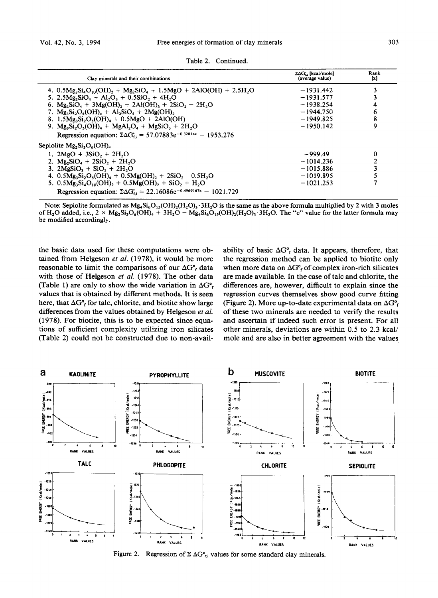| Clav minerals and their combinations                                              | ∑∆G <sub>ti</sub> [kcal/mole]<br>(average value) | Rank<br>$\left[ x\right]$ |
|-----------------------------------------------------------------------------------|--------------------------------------------------|---------------------------|
| 4. $0.5Mg_3Si_4O_{10}(OH)_2 + Mg_2SiO_4 + 1.5MgO + 2AlO(OH) + 2.5H2O$             | $-1931.442$                                      | 3                         |
| 5. $2.5Mg_2SiO_4 + Al_2O_3 + 0.5SiO_2 + 4H_2O$                                    | $-1931.577$                                      |                           |
| 6. $Mg_2SiO_4 + 3Mg(OH)_2 + 2Al(OH)_3 + 2SiO_2 - 2H_2O$                           | $-1938.254$                                      |                           |
| 7. $Mg_3Si_2O_6(OH)_4 + Al_2SiO_6 + 2Mg(OH)_2$                                    | $-1944.750$                                      | 6                         |
| 8. 1.5 $Mg_3Si_2O_5(OH)_4 + 0.5MgO + 2AlO(OH)$                                    | $-1949.825$                                      | 8                         |
| 9. $Mg_3Si_2O_5(OH)_4 + MgAl_2O_4 + MgSiO_3 + 2H_2O$                              | $-1950.142$                                      | 9                         |
| Regression equation: $\Sigma \Delta G_{fi} = 57.07883e^{-0.32814x} - 1953.276$    |                                                  |                           |
| Sepiolite $Mg_2Si_3O_6(OH)_4$                                                     |                                                  |                           |
| 1. $2\text{MgO} + 3\text{SiO}$ , + $2\text{H}$ , O                                | $-999.49$                                        | $\bf{0}$                  |
| 2. $Mg_2SiO_4 + 2SiO_2 + 2H_2O$                                                   | $-1014.236$                                      | 2                         |
| 3. $2M\epsilon SiO_2 + SiO_2 + 2H_2O$                                             | $-1015.886$                                      | 3                         |
| 4. $0.5Mg_3Si_2O_5(OH)_4 + 0.5Mg(OH)_2 + 2SiO_2$ , 0.5H <sub>2</sub> O            | $-1019.895$                                      |                           |
| 5. $0.5Mg_3Si_4O_{10}(OH)$ , + $0.5Mg(OH)$ , + $SiO$ , + $H_2O$                   | $-1021.253$                                      |                           |
| Regression equation: $\Sigma \Delta G_{f,i} = 22.16086e^{-0.4969167x} - 1021.729$ |                                                  |                           |

**Table 2. Continued.** 

Note: Sepiolite formulated as  $Mg_4Si_6O_{13}(OH)_2(H_2O)_3.3H_2O$  is the same as the above formula multiplied by 2 with 3 moles of H<sub>2</sub>O added, i.e.,  $2 \times Mg_2Si_3O_6(OH)_4 + 3H_2O = Mg_3Si_6O_{15}(OH)_2(H_2O)_3.3H_2O$ . The "c" value for the latter formula may **be modified accordingly.** 

**the basic data used for these computations were obtained from Helgeson** *et al.* **(1978), it would be more**  reasonable to limit the comparisons of our  $\Delta G_f^{\circ}$  data **with those of Helgeson** *et al.* **(1978). The other data**  (Table 1) are only to show the wide variation in  $\Delta G^{\circ}$ . **values that is obtained by different methods. It is seen**  here, that  $\Delta G^{\circ}$  for talc, chlorite, and biotite show large **differences from the values obtained by Helgeson** *et al.*  **(1978). For biotite, this is to be expected since equations of sufficient complexity utilizing iron silicates (Table 2) could not be constructed due to non-avail-**

ability of basic  $\Delta G^{\circ}$ <sub>f</sub> data. It appears, therefore, that **the regression method can be applied to biotite only**  when more data on  $\Delta G^{\circ}_{f}$  of complex iron-rich silicates **are made available. In the case of talc and chlorite, the differences are, however, difficult to explain since the regression curves themselves show good curve fitting**  (Figure 2). More up-to-date experimental data on  $\Delta G^{\circ}$ **of these two minerals are needed to verify the results and ascertain if indeed such error is present. For all other minerals, deviations are within 0.5 to 2.3 kcal/ mole and are also in better agreement with the values** 



Figure 2. Regression of  $\Sigma \Delta G^{\circ}_{\epsilon_i}$  values for some standard clay minerals.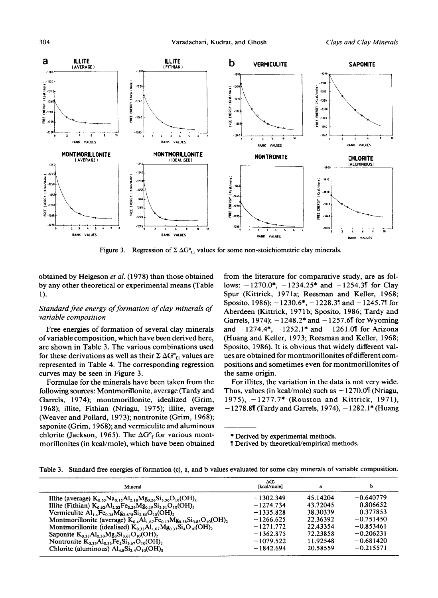

Figure 3. Regression of  $\Sigma \Delta G^{\circ}{}_{fi}$  values for some non-stoichiometric clay minerals.

**obtained by Helgeson** *et al.* **(1978) than those obtained by any other theoretical or experimental means (Table**  1).

# *Standard free energy of formation of clay minerals of variable composition*

**Free energies of formation of several clay minerals of variable composition, which have been derived here, are shown in Table 3. The various combinations used**  for these derivations as well as their  $\Sigma \Delta G^{\circ}_{f,i}$  values are **represented in Table 4. The corresponding regression curves may be seen in Figure 3.** 

**Formulae for the minerals have been taken from the following sources: MontmoriUonite, average (Tardy and**  Garrels, 1974); montmorillonite, idealized (Grim, **1968); illite, Fithian (Nriagu, 1975); illite, average (Weaver and Pollard, 1973); nontronite (Grim, 1968); saponite (Grim, 1968); and vermiculite and aluminous**  chlorite (Jackson, 1965). The  $\Delta G^{\circ}$  for various mont**morillonites (in kcal/mole), which have been obtained**  **from the literature for comparative study, are as fol**lows:  $-1270.0^*$ ,  $-1234.25^*$  and  $-1254.3$  for Clay **Spur (Kittrick, 1971a; Reesman and Keller, 1968;**  Sposito, 1986);  $-1230.6^*$ ,  $-1228.3$ <sup>1</sup> and  $-1245.7$ <sup>1</sup> for Aberdeen (Kittrick, 1971b; Sposito, 1986; Tardy and Garrels, 1974); -1248.2\* and -1257.6<sup>1</sup> for Wyoming and  $-1274.4^*$ ,  $-1252.1^*$  and  $-1261.0$ <sup>[</sup> for Arizona **(Huang and Keller, 1973; Reesman and Keller, 1968; Sposito, 1986). It is obvious that widely different values are obtained for montmorillonites of different compositions and sometimes even for montmorillonites of the same origin.** 

**For illites, the variation in the data is not very wide.**  Thus, values (in kcal/mole) such as  $-1270.0$ <sup>[</sup> (Nriagu, **1975), -1277.7" (Rouston and Kittrick, 1971), - 1278.882 (Tardy and Garrels, 1974), - 1282.1" (Huang** 

**\* Derived by experimental methods.** 

**<sup>82</sup> Derived by theoretical/empirical methods.** 

|  |  |  |  |  |  | Table 3. Standard free energies of formation (c), a, and b values evaluated for some clay minerals of variable composition. |
|--|--|--|--|--|--|-----------------------------------------------------------------------------------------------------------------------------|
|--|--|--|--|--|--|-----------------------------------------------------------------------------------------------------------------------------|

| Mineral                                                                                                                    | ΔG.<br>[kcal/mole] | a        | ь           |
|----------------------------------------------------------------------------------------------------------------------------|--------------------|----------|-------------|
| Illite (average) $K_0$ , Na <sub>0.15</sub> Al <sub>2.18</sub> Mg <sub>0.26</sub> Si <sub>1.56</sub> O <sub>10</sub> (OH), | $-1302.349$        | 45.14204 | $-0.640779$ |
| Illite (Fithian) $K_{0.62}Al_{2.03}Fe_{0.29}Mg_{0.19}Si_{3.51}O_{10}(OH)$                                                  | $-1274.734$        | 43.72045 | $-0.806652$ |
| Vermiculite $Al_{1.4}Fe_{0.35}Mg_{2.675}Si_{2.85}O_{10}(OH)_{2.4}$                                                         | $-1335.828$        | 38.30339 | $-0.377853$ |
| Montmorillonite (average) $K_0 A I_{1.67}Fe_{0.17}Mg_{0.38}Si_{3.83}O_{10}(OH)_{2.6}$                                      | $-1266.625$        | 22.36392 | $-0.751450$ |
| Montmorillonite (idealised) $K_{0,33}Al_{1,67}Mg_{0,33}Si_4O_{10}(OH)_2$                                                   | $-1271.772$        | 22.43354 | $-0.853461$ |
| Saponite $K_{0,32}Al_{0,32}Mg_3Si_{3,62}O_{10}(OH)$ ,                                                                      | $-1362.875$        | 72.23858 | $-0.206231$ |
| Nontronite $K_0$ 33 Al <sub>0</sub> 33 Fe <sub>2</sub> Si <sub>3.67</sub> O <sub>10</sub> (OH) <sub>2</sub>                | $-1079.522$        | 11.92548 | $-0.681420$ |
| Chlorite (aluminous) $Al_{4.8}Si_{3.4}O_{10}(OH)_{8}$                                                                      | $-1842.694$        | 20.58559 | $-0.215571$ |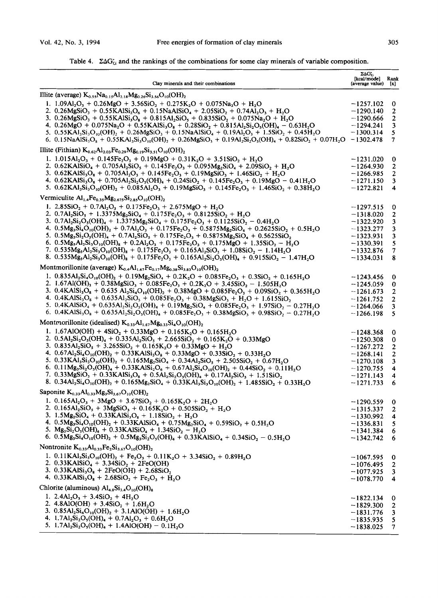| Table 4. $\Sigma\Delta G_{\rm ti}$ and the rankings of the combinations for some clay minerals of variable composition. |  |  |  |  |
|-------------------------------------------------------------------------------------------------------------------------|--|--|--|--|
|                                                                                                                         |  |  |  |  |

| Clay minerals and their combinations                                                                                                                                                                                                                                                                                                                                                                                                       | $\Sigma \Delta G_{fs}$ [kcal/mode]<br>(average value) | Rank<br>$\mathbf{x}$ |
|--------------------------------------------------------------------------------------------------------------------------------------------------------------------------------------------------------------------------------------------------------------------------------------------------------------------------------------------------------------------------------------------------------------------------------------------|-------------------------------------------------------|----------------------|
| Illite (average) $K_{0.55}Na_{0.15}Al_{2.18}Mg_{0.26}Si_{3.56}O_{10}(OH)_{2}$                                                                                                                                                                                                                                                                                                                                                              |                                                       |                      |
| 1. 1.09Al <sub>2</sub> O <sub>3</sub> + 0.26MgO + 3.56SiO <sub>2</sub> + 0.275K <sub>2</sub> O + 0.075Na <sub>2</sub> O + H <sub>2</sub> O                                                                                                                                                                                                                                                                                                 | –1257.102                                             |                      |
| 2. $0.26MgSiO_3 + 0.55KAlSi_2O_6 + 0.15NaAlSiO_4 + 2.05SiO_2 + 0.74Al_2O_3 + H_2O$                                                                                                                                                                                                                                                                                                                                                         | $-1290.140$                                           | 0                    |
| 3. $0.26MgSiO_3 + 0.55KAlSi_1O_8 + 0.815Al_2SiO_5 + 0.835SiO_2 + 0.075Na_2O + H_2O$                                                                                                                                                                                                                                                                                                                                                        | $-1290.666$                                           | 2<br>2               |
| 4. 0.26MgO + 0.075Na <sub>2</sub> O + 0.55KAlSi <sub>3</sub> O <sub>s</sub> + 0.28SiO <sub>2</sub> + 0.815Al <sub>2</sub> Si <sub>2</sub> O <sub>s</sub> (OH) <sub>a</sub> - 0.63H <sub>2</sub> O                                                                                                                                                                                                                                          | -1294.241                                             | 3                    |
| 5. $0.55\text{KAl}_3\text{Si}_3\text{O}_{10}(\text{OH})_2 + 0.26\text{MgSiO}_3 + 0.15\text{NaAlSiO}_4 + 0.19\text{Al}_2\text{O}_3 + 1.5\text{SiO}_2 + 0.45\text{H}_2\text{O}$                                                                                                                                                                                                                                                              | -1300.314                                             | 5                    |
| 6. 0.15NaAlSi <sub>3</sub> O <sub>8</sub> + 0.55KAl <sub>3</sub> Si <sub>3</sub> O <sub>10</sub> (OH) <sub>2</sub> + 0.26MgSiO <sub>3</sub> + 0.19Al <sub>2</sub> Si <sub>2</sub> O <sub>5</sub> (OH) <sub>4</sub> + 0.82SiO <sub>2</sub> + 0.07H <sub>2</sub> O -1302.478                                                                                                                                                                 |                                                       | $\tau$               |
|                                                                                                                                                                                                                                                                                                                                                                                                                                            |                                                       |                      |
| Illite (Fithian) $K_{0.62}Al_{2.03}Fe_{0.29}Mg_{0.19}Si_{3.51}O_{10}(OH)_{2}$                                                                                                                                                                                                                                                                                                                                                              |                                                       |                      |
| 1. $1.015Al_2O_3 + 0.145Fe_2O_3 + 0.19MgO + 0.31K_2O + 3.51SiO_2 + H_2O$                                                                                                                                                                                                                                                                                                                                                                   | -1231.020                                             | 0                    |
| 2. $0.62$ KAlSiO <sub>4</sub> + 0.705Al <sub>2</sub> SiO <sub>5</sub> + 0.145Fe <sub>2</sub> O <sub>3</sub> + 0.095Mg <sub>2</sub> SiO <sub>4</sub> + 2.09SiO <sub>2</sub> + H <sub>2</sub> O                                                                                                                                                                                                                                              | –1264.930                                             | 2                    |
| 3. $0.62KAISi3O8 + 0.705AI2O3 + 0.145Fe2O3 + 0.19MgSiO3 + 1.46SiO2 + H2O$                                                                                                                                                                                                                                                                                                                                                                  | -1266.985                                             | 2                    |
| 4. $0.62KAISi3O8 + 0.705AI2Si2O5(OH)4 + 0.24SiO2 + 0.145Fe2O3 + 0.19MgO - 0.41H2O$                                                                                                                                                                                                                                                                                                                                                         | $-1271.150$                                           | 3                    |
| 5. $0.62 \text{KAl}_3 \text{Si}_3 \text{O}_{10}(\text{OH})_2 + 0.085 \text{Al}_2 \text{O}_3 + 0.19 \text{MgSiO}_3 + 0.145 \text{Fe}_2 \text{O}_3 + 1.46 \text{SiO}_2 + 0.38 \text{H}_2 \text{O}$                                                                                                                                                                                                                                           | $-1272.821$                                           | 4                    |
| Vermiculite $Al_{1.4}Fe_{0.35}Mg_{2.675}Si_{2.85}O_{10}(OH)_{2}$                                                                                                                                                                                                                                                                                                                                                                           |                                                       |                      |
| 1. 2.85SiO <sub>2</sub> + 0.7Al <sub>2</sub> O <sub>3</sub> + 0.175Fe <sub>2</sub> O <sub>3</sub> + 2.675MgO + H <sub>2</sub> O                                                                                                                                                                                                                                                                                                            | $-1297.515$                                           | 0                    |
| 2. $0.7Al_2SiO_5 + 1.3375Mg_2SiO_4 + 0.175Fe_2O_3 + 0.8125SiO_2 + H_2O$                                                                                                                                                                                                                                                                                                                                                                    | $-1318.020$                                           | 2                    |
| 3. $0.7Al_2Si_2O_5(OH)_4 + 1.3375Mg_2SiO_4 + 0.175Fe_2O_3 + 0.1125SiO_2 - 0.4H_2O$                                                                                                                                                                                                                                                                                                                                                         | $-1322.920$                                           | 3                    |
| 4. $0.5Mg_3Si_4O_{10}(OH)_2 + 0.7Al_2O_3 + 0.175Fe_2O_3 + 0.5875Mg_2SiO_4 + 0.2625SiO_2 + 0.5H_2O$                                                                                                                                                                                                                                                                                                                                         | -1323.277                                             | 3                    |
| 5. $0.5Mg_3Si_2O_5(OH)_4 + 0.7Al_2SiO_5 + 0.175Fe_2O_3 + 0.5875Mg_2SiO_4 + 0.5625SiO_2$                                                                                                                                                                                                                                                                                                                                                    | -1323.931                                             | 3                    |
| 6. 0.5 $M_{85}Al_2Si_3O_{10}(OH)_8 + 0.2Al_2O_3 + 0.175Fe_2O_3 + 0.175MgO + 1.35SiO_2 - H_2O$                                                                                                                                                                                                                                                                                                                                              | –1330.391                                             | 5                    |
| 7. $0.535M_{85}Al_2Si_3O_{10}(OH)_8 + 0.175Fe_2O_3 + 0.165Al_2SiO_5 + 1.08SiO_2 - 1.14H_2O$                                                                                                                                                                                                                                                                                                                                                | - 1332.876                                            | 7                    |
| 8. 0.535Mg <sub>5</sub> Al <sub>2</sub> Si <sub>3</sub> O <sub>10</sub> (OH) <sub>8</sub> + 0.175Fe <sub>2</sub> O <sub>3</sub> + 0.165Al <sub>2</sub> Si <sub>2</sub> O <sub>5</sub> (OH) <sub>4</sub> + 0.915SiO <sub>2</sub> - 1.47H <sub>2</sub> O                                                                                                                                                                                     | $-1334.031$                                           | 8                    |
| Montmorillonite (average) $K_{0.4}Al_{1.67}Fe_{0.17}Mg_{0.38}Si_{3.83}O_{10}(OH)_{2}$                                                                                                                                                                                                                                                                                                                                                      |                                                       |                      |
|                                                                                                                                                                                                                                                                                                                                                                                                                                            |                                                       |                      |
| 1. $0.835Al_2Si_4O_{10}(OH)_2 + 0.19Mg_2SiO_4 + 0.2K_2O + 0.085Fe_2O_3 + 0.3SiO_2 + 0.165H_2O$<br>2. 1.67Al(OH) <sub>3</sub> + 0.38MgSiO <sub>3</sub> + 0.085Fe <sub>2</sub> O <sub>3</sub> + 0.2K <sub>2</sub> O + 3.45SiO <sub>2</sub> - 1.505H <sub>2</sub> O                                                                                                                                                                           | -1243.456                                             | 0                    |
|                                                                                                                                                                                                                                                                                                                                                                                                                                            | -1245.059                                             | 0                    |
| 3. $0.4$ KAlSi <sub>3</sub> O <sub>8</sub> + $0.635$ Al <sub>2</sub> Si <sub>4</sub> O <sub>10</sub> (OH) <sub>2</sub> + $0.38$ MgO + $0.085$ Fe <sub>2</sub> O <sub>3</sub> + $0.09$ SiO <sub>2</sub> + $0.365$ H <sub>2</sub> O<br>4. $0.4$ KAlSi <sub>3</sub> O <sub>8</sub> + $0.635$ Al <sub>2</sub> SiO <sub>3</sub> + $0.085$ Fe <sub>2</sub> O <sub>3</sub> + $0.38$ MgSiO <sub>3</sub> + H <sub>2</sub> O + 1.615SiO <sub>3</sub> | $-1261.673$                                           | 2                    |
| 5. $0.4KAISiO_4 + 0.635Al_2Si_2O_5(OH)_4 + 0.19Mg_2SiO_4 + 0.085Fe_2O_3 + 1.97SiO_2 - 0.27H_2O$                                                                                                                                                                                                                                                                                                                                            | $-1261.752$                                           | 2                    |
| 6. $0.4KAISi3O8 + 0.635Al2Si2O5(OH)4 + 0.085Fe2O3 + 0.38MgSiO3 + 0.98SiO2 - 0.27H2O$                                                                                                                                                                                                                                                                                                                                                       | $-1264.066$                                           | 3<br>5               |
|                                                                                                                                                                                                                                                                                                                                                                                                                                            | $-1266.198$                                           |                      |
| Montmorillonite (idealised) $K_{0.33}Al_{1.67}Mg_{0.33}Si_4O_{10}(OH)_2$                                                                                                                                                                                                                                                                                                                                                                   |                                                       |                      |
| 1. 1.67AlO(OH) + $4SiO_2 + 0.33MgO + 0.165K_2O + 0.165H_2O$                                                                                                                                                                                                                                                                                                                                                                                | $-1248.368$                                           | 0                    |
| 2. $0.5Al_2Si_2O_5(OH)_4 + 0.335Al_2SiO_5 + 2.665SiO_2 + 0.165K_2O + 0.33MgO$                                                                                                                                                                                                                                                                                                                                                              | $-1250.308$                                           | 0                    |
| 3. $0.835Al_2SiO_5 + 3.265SiO_2 + 0.165K_2O + 0.33MgO + H_2O$                                                                                                                                                                                                                                                                                                                                                                              | $-1267.272$                                           | 2                    |
| 4. $0.67 \text{Al}_2\text{Si}_4\text{O}_{10}(\text{OH})_2 + 0.33 \text{KAl}\text{Si}_3\text{O}_8 + 0.33 \text{MgO} + 0.33 \text{SiO}_2 + 0.33 \text{H}_2\text{O}$                                                                                                                                                                                                                                                                          | $-1268,141$                                           | 2                    |
| 5. $0.33\text{KAl}_3\text{Si}_3\text{O}_{10}(\text{OH})_2 + 0.165\text{Mg}_2\text{SiO}_4 + 0.34\text{Al}_2\text{SiO}_5 + 2.505\text{SiO}_2 + 0.67\text{H}_2\text{O}$                                                                                                                                                                                                                                                                       | $-1270.108$                                           | 3                    |
| 6. 0.11Mg <sub>3</sub> Si <sub>2</sub> O <sub>5</sub> (OH) <sub>4</sub> + 0.33KAlSi <sub>2</sub> O <sub>6</sub> + 0.67Al <sub>2</sub> Si <sub>4</sub> O <sub>10</sub> (OH) <sub>2</sub> + 0.44SiO <sub>2</sub> + 0.11H <sub>2</sub> O                                                                                                                                                                                                      | $-1270.755$                                           | 4                    |
| 7. 0.33MgSiO <sub>3</sub> + 0.33KAlSi <sub>3</sub> O <sub>8</sub> + 0.5Al <sub>2</sub> Si <sub>2</sub> O <sub>5</sub> (OH) <sub>4</sub> + 0.17Al <sub>2</sub> SiO <sub>5</sub> + 1.51SiO <sub>2</sub>                                                                                                                                                                                                                                      | -1271.143                                             | 4                    |
| 8. $0.34Al_2Si_4O_{10}(OH)_2 + 0.165Mg_2SiO_4 + 0.33KAl_3Si_3O_{10}(OH)_2 + 1.485SiO_2 + 0.33H_2O$                                                                                                                                                                                                                                                                                                                                         | $-1271.733$                                           | 6                    |
| Saponite $K_{0.33}Al_{0.33}Mg_3Si_{3.67}O_{10}(OH)_2$                                                                                                                                                                                                                                                                                                                                                                                      |                                                       |                      |
| 1. $0.165Al_2O_3 + 3MgO + 3.67SiO_2 + 0.165K_2O + 2H_2O$                                                                                                                                                                                                                                                                                                                                                                                   | -1290.559                                             | 0                    |
| 2. $0.165Al_2SiO_5 + 3MgSiO_3 + 0.165K_2O + 0.505SiO_2 + H_2O$                                                                                                                                                                                                                                                                                                                                                                             | $-1315.337$                                           | 2                    |
| 3. $1.5Mg_2SiO_4 + 0.33KAlSi_3O_8 + 1.18SiO_2 + H_2O$                                                                                                                                                                                                                                                                                                                                                                                      | - 1330.992                                            | 4                    |
| 4. $0.5Mg_3Si_4O_{10}(OH)_2 + 0.33KAlSiO_4 + 0.75Mg_2SiO_4 + 0.59SiO_2 + 0.5H_2O$                                                                                                                                                                                                                                                                                                                                                          | $-1336.831$                                           | 5                    |
| 5. $Mg_3Si_2O_5(OH)_4 + 0.33KAlSiO_4 + 1.34SiO_2 - H_2O$                                                                                                                                                                                                                                                                                                                                                                                   | $-1341.384$                                           | o                    |
| 6. $0.5Mg_3Si_4O_{10}(OH)_2 + 0.5Mg_3Si_2O_5(OH)_4 + 0.33KAlSiO_4 + 0.34SiO_2 - 0.5H_2O$                                                                                                                                                                                                                                                                                                                                                   | -1342.742                                             | 6                    |
| Nontronite $K_{0.33}Al_{0.33}Fe_2Si_{3.67}O_{10}(OH)_2$                                                                                                                                                                                                                                                                                                                                                                                    |                                                       |                      |
| 1. 0.11KAl <sub>3</sub> Si <sub>3</sub> O <sub>10</sub> (OH) <sub>2</sub> + Fe <sub>2</sub> O <sub>3</sub> + 0.11K <sub>2</sub> O + 3.34SiO <sub>2</sub> + 0.89H <sub>2</sub> O                                                                                                                                                                                                                                                            | –1067.595                                             | o                    |
| 2. $0.33KAlSiO4 + 3.34SiO2 + 2FeO(OH)$                                                                                                                                                                                                                                                                                                                                                                                                     | $-1076.495$                                           | 2                    |
| 3. $0.33$ KAlSi <sub>3</sub> O <sub>8</sub> + 2FeO(OH) + 2.68SiO <sub>2</sub>                                                                                                                                                                                                                                                                                                                                                              | -1077.925                                             | 3                    |
| 4. $0.33KAlSi3O8 + 2.68SiO2 + Fe2O3 + H2O$                                                                                                                                                                                                                                                                                                                                                                                                 | $-1078.770$                                           | 4                    |
| Chlorite (aluminous) $Al_{4.8}Si_{3.4}O_{10}(OH)_{8}$                                                                                                                                                                                                                                                                                                                                                                                      |                                                       |                      |
| 1. 2.4Al <sub>2</sub> O <sub>3</sub> + 3.4SiO <sub>2</sub> + 4H <sub>2</sub> O                                                                                                                                                                                                                                                                                                                                                             | -1822.134                                             | 0                    |
| 2. $4.8AlO(OH) + 3.4SiO_2 + 1.6H_2O$                                                                                                                                                                                                                                                                                                                                                                                                       | $-1829.300$                                           | 2                    |
| 3. $0.85Al_2Si_4O_{10}(OH)_2 + 3.1AlO(OH) + 1.6H_2O$                                                                                                                                                                                                                                                                                                                                                                                       | $-1831.776$                                           | 3                    |
| 4. 1.7Al <sub>2</sub> Si <sub>2</sub> O <sub>5</sub> (OH) <sub>4</sub> + 0.7Al <sub>2</sub> O <sub>3</sub> + 0.6H <sub>2</sub> O                                                                                                                                                                                                                                                                                                           | $-1835.935$                                           | 5                    |
| 5. $1.7Al_2Si_2O_5(OH)_4 + 1.4AlO(OH) - 0.1H_2O$                                                                                                                                                                                                                                                                                                                                                                                           | –1838.025                                             | 7                    |
|                                                                                                                                                                                                                                                                                                                                                                                                                                            |                                                       |                      |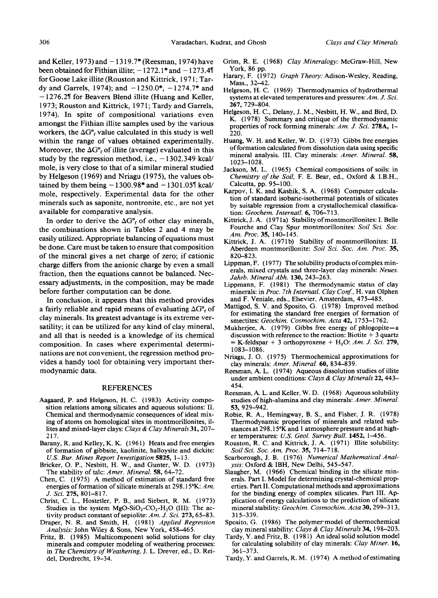and Keller, 1973) and  $-1319.7$ \* (Reesman, 1974) have been obtained for Fithian illite;  $-1272.1*$  and  $-1273.4%$ for Goose Lake illite (Rouston and Kittrick, 1971; Tardy and Garrels, 1974); and  $-1250.0^*$ ,  $-1274.7^*$  and **-1276.282** for Beavers Blend illite (Huang and Keller, 1973; Rouston and Kittrick, 1971; Tardy and Garrels, 1974). In spite of compositional variations even amongst the Fithian illite samples used by the various workers, the  $\Delta G^{\circ}$  value calculated in this study is well within the range of values obtained experimentally. Moreover, the  $\Delta G^{\circ}$  of illite (average) evaluated in this study by the regression method, i.e.,  $-1302.349$  kcal/ mole, is very close to that of a similar mineral studied by Helgeson (1969) and Nriagu (1975), the values obtained by them being  $-1300.98*$  and  $-1301.05%$  kcal/ mole, respectively. Experimental data for the other minerals such as saponite, nontronite, etc., are not yet available for comparative analysis.

In order to derive the  $\Delta G^{\circ}_{f}$  of other clay minerals, the combinations shown in Tables 2 and 4 may be easily utilized. Appropriate balancing of equations must be done. Care must be taken to ensure that composition of the mineral gives a net charge of zero; if cationic charge differs from the anionic charge by even a small fraction, then the equations cannot be balanced. Necessary adjustments, in the composition, may be made before further computation can be done.

In conclusion, it appears that this method provides a fairly reliable and rapid means of evaluating  $\Delta G^{\circ}$  of clay minerals. Its greatest advantage is its extreme versatility; it can be utilized for any kind of clay mineral, and all that is needed is a knowledge of its chemical composition. In cases where experimental determinations are not convenient, the regression method provides a handy tool for obtaining very important thermodynamic data.

### REFERENCES

- Aagaard, P. and Helgeson, H. C. (1983) Activity composition relations among silicates and aqueous solutions: II. Chemical and thermodynamic consequences of ideal mixing of atoms on homological sites in montmorillonites, illites and mixed-layer clays: *Clays & Clay Minerals* 31,207- 217.
- Barany, R. and Kelley, K. K. (1961) Heats and free energies of formation of gibbsite, kaolinite, halloysite and dickite: *U.S. Bur. Mines Report Investigation* 5825, 1-13.
- Bricker, O. P., Nesbitt, H. W., and Gunter, W. D. (1973) The stability of talc: *Amer. Mineral* 58, 64-72.
- Chen, C. (1975) A method of estimation of standard free energies of formation of silicate minerals at 298.15°K: Am. *J. Sci.* 275, 801-817.
- Christ, C. L., Hostetler, P. B., and Siebert, R. M. (1973) Studies in the system  $MgO-SiO_2-CO_2-H_2O$  (III): The activity product constant of sepiolite: *Am. J. Sci.* 273, 65-83.
- Draper, N. R. and Smith, H. (1981) *Applied Regression Analysis:* John Wiley & Sons, New York, 458--465.
- Fritz, B. (1985) Multicomponent solid solutions for clay minerals and computer modeling of weathering processes: in *The Chemistry of Weathering,* J. L. Drever, ed., D. Reidel, Dordrecht, 19-34.
- Grim, R. E. (1968) *Clay Mineralogy:* McGraw-Hill, New York, 86 pp.
- Harary, F. (1972) *Graph Theory: Adison-Wesley, Reading,*  Mass., 32-42.
- Helgeson, H. C. (1969) Thermodynamics of hydrothermal systems at elevated temperatures and pressures: Am. J. Sci. 267, 729-804.
- Helgeson, H. C., Delany, J. M., Nesbitt, H. W., and Bird, D. K. (1978) Summary and critique of the thermodynamic properties of rock forming minerals: *Am. J. Sci.* 278A, 1- 220.
- Huang, W. H. and Keller, W. D. (1973) Gibbs free energies of formation calculated from dissolution data using specific mineral analysis. III. Clay minerals: *Amer. Mineral* 58, 1023-1028.
- Jackson, M. L. (1965) Chemical compositions of soils: in *Chemistry of the Soil* F. E. Bear, ed., Oxford & I.B.H., Calcutta, pp. 95-100.
- Karpov, I. K. and Kashik, S. A. (1968) Computer calculation of standard isobaric-isothermal potentials of silicates by suitable regression from a crystallochemical classification: *Geoehem. Internatl.* 6, 706-713.
- Kittrick, J. A. (1971a) Stability of montmorillonites: I. Belle Fourche and Clay Spur montmorillonites: *Soil Sci. Soc. Am. Proc.* 35, 140-145.
- Kittrick, J. A. (1971b) Stability of montmorillonites: II. Aberdeen montmorillonite: *Soil Sci. Soc. Am. Proc.* 35, 820-823.
- Lippman, F. (1977) The solubility products of complex minerals, mixed crystals and three-layer clay minerals: *Neues. Jahrb. Mineral Abh.* 130, 243-263.
- Lippmann, F. (1981) The thermodynamic status of clay minerals: in *Proc. 7th InternatL Clay Conf.,* H. van Olphen and F. Veniale, eds., Elsevier, Amsterdam, 475-485.
- Mattigod, S. V. and Sposito, G. (1978) Improved method for estimating the standard free energies of formation of smectites: *Geochim. Cosmochim. Acta* 42, 1753-1762.
- Mukherjee, A. (1979) Gibbs free energy of phlogopite-a discussion with reference to the reaction: Biotite  $+3$  quartz  $=$  K-feldspar + 3 orthopyroxene + H<sub>2</sub>O: *Am. J. Sci.* 279, 1083-1086.
- Nriagu, J. O. (1975) Thermochemical approximations for clay minerals: *Amer. Mineral* **60,** 834-839.
- Reesman, A. L. (1974) Aqueous dissolution studies of illite under ambient conditions: *Clays & Clay Minerals* 22, 443- 454.
- Reesman, A. L. and Keller, W. D. (1968) Aqueous solubility studies of high-alumina and clay minerals: *Amer. Mineral.*  53, 929-942.
- Robie, R. A., Hemingway, B. S., and Fisher, J. R. (1978) Thermodynamic properites of minerals and related substances at 298.15°K and 1 atmosphere pressure and at higher temperatures: *U.S. Geol. Survey Bull.* 1452, 1-456.
- Rouston, R. C. and Kittrick, J. A. (1971) Illite solubility: *Soil Sci. Soc. Am. Proc.* 35, 714-718.
- Scarborough, J. B. (1976) *Numerical Mathematical Analysis:* Oxford & IBH, New Delhi, 545-547.
- Slaugher, M. (1966) Chemical binding in the silicate minerals. Part I. Model for determining crystal-chemical properties. Part II. Computational methods and approximations for the binding energy of complex silicates. Part III. Application of energy calculations to the prediction of silicate mineral stability: *Geochim. Cosmochim. Acta* 30, 299-313, 315-339.
- Sposito, G. (1986) The polymer model of thermochemical clay mineral stability: *Clays & Clay Minerals* 34, 198-203.
- Tardy, Y. and Fritz, B. ( 1981) An ideal solid solution model for calculating solubility of clay minerals: *Clay Miner.* 16, 361-373.
- Tardy, Y. and Garrels, R.M. (1974) A method of estimating